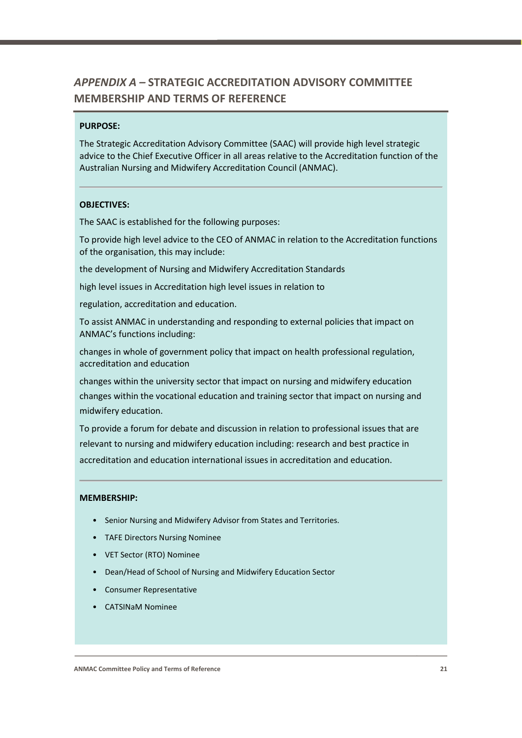# *APPENDIX A –* **STRATEGIC ACCREDITATION ADVISORY COMMITTEE MEMBERSHIP AND TERMS OF REFERENCE**

#### **PURPOSE:**

The Strategic Accreditation Advisory Committee (SAAC) will provide high level strategic advice to the Chief Executive Officer in all areas relative to the Accreditation function of the Australian Nursing and Midwifery Accreditation Council (ANMAC).

#### **OBJECTIVES:**

The SAAC is established for the following purposes:

To provide high level advice to the CEO of ANMAC in relation to the Accreditation functions of the organisation, this may include:

the development of Nursing and Midwifery Accreditation Standards

high level issues in Accreditation high level issues in relation to

regulation, accreditation and education.

To assist ANMAC in understanding and responding to external policies that impact on ANMAC's functions including:

changes in whole of government policy that impact on health professional regulation, accreditation and education

changes within the university sector that impact on nursing and midwifery education changes within the vocational education and training sector that impact on nursing and midwifery education.

To provide a forum for debate and discussion in relation to professional issues that are relevant to nursing and midwifery education including: research and best practice in accreditation and education international issues in accreditation and education.

# **MEMBERSHIP:**

- Senior Nursing and Midwifery Advisor from States and Territories.
- TAFE Directors Nursing Nominee
- VET Sector (RTO) Nominee
- Dean/Head of School of Nursing and Midwifery Education Sector
- Consumer Representative
- CATSINaM Nominee